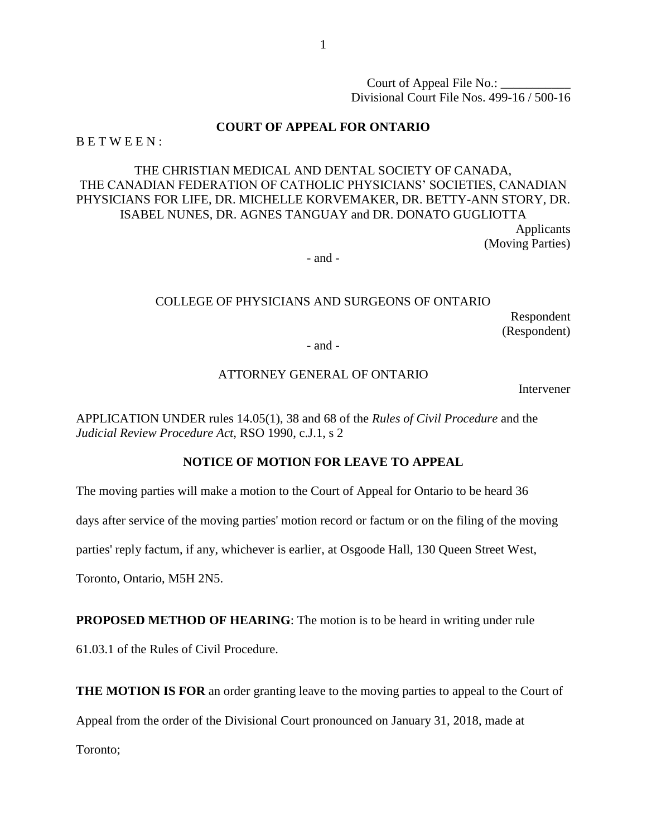Court of Appeal File No.: Divisional Court File Nos. 499-16 / 500-16

#### **COURT OF APPEAL FOR ONTARIO**

 $B E T W E E N$ :

## THE CHRISTIAN MEDICAL AND DENTAL SOCIETY OF CANADA, THE CANADIAN FEDERATION OF CATHOLIC PHYSICIANS' SOCIETIES, CANADIAN PHYSICIANS FOR LIFE, DR. MICHELLE KORVEMAKER, DR. BETTY-ANN STORY, DR. ISABEL NUNES, DR. AGNES TANGUAY and DR. DONATO GUGLIOTTA Applicants (Moving Parties)

- and -

### COLLEGE OF PHYSICIANS AND SURGEONS OF ONTARIO Respondent (Respondent) - and -

#### ATTORNEY GENERAL OF ONTARIO

Intervener

APPLICATION UNDER rules 14.05(1), 38 and 68 of the *Rules of Civil Procedure* and the *Judicial Review Procedure Act,* RSO 1990, c.J.1, s 2

## **NOTICE OF MOTION FOR LEAVE TO APPEAL**

The moving parties will make a motion to the Court of Appeal for Ontario to be heard 36

days after service of the moving parties' motion record or factum or on the filing of the moving

parties' reply factum, if any, whichever is earlier, at Osgoode Hall, 130 Queen Street West,

Toronto, Ontario, M5H 2N5.

**PROPOSED METHOD OF HEARING:** The motion is to be heard in writing under rule

61.03.1 of the Rules of Civil Procedure.

**THE MOTION IS FOR** an order granting leave to the moving parties to appeal to the Court of

Appeal from the order of the Divisional Court pronounced on January 31, 2018, made at

Toronto;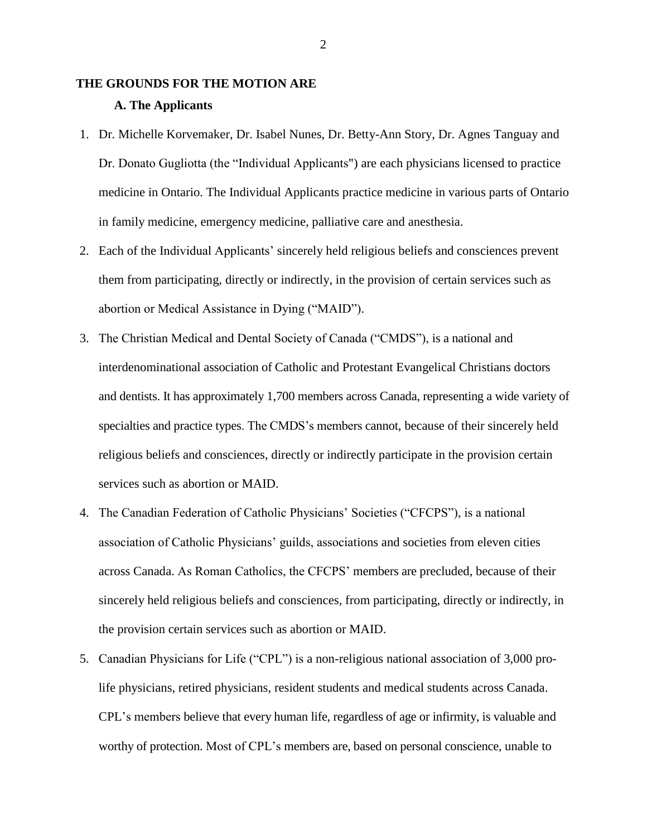# **THE GROUNDS FOR THE MOTION ARE A. The Applicants**

- 1. Dr. Michelle Korvemaker, Dr. Isabel Nunes, Dr. Betty-Ann Story, Dr. Agnes Tanguay and Dr. Donato Gugliotta (the "Individual Applicants") are each physicians licensed to practice medicine in Ontario. The Individual Applicants practice medicine in various parts of Ontario in family medicine, emergency medicine, palliative care and anesthesia.
- 2. Each of the Individual Applicants' sincerely held religious beliefs and consciences prevent them from participating, directly or indirectly, in the provision of certain services such as abortion or Medical Assistance in Dying ("MAID").
- 3. The Christian Medical and Dental Society of Canada ("CMDS"), is a national and interdenominational association of Catholic and Protestant Evangelical Christians doctors and dentists. It has approximately 1,700 members across Canada, representing a wide variety of specialties and practice types. The CMDS's members cannot, because of their sincerely held religious beliefs and consciences, directly or indirectly participate in the provision certain services such as abortion or MAID.
- 4. The Canadian Federation of Catholic Physicians' Societies ("CFCPS"), is a national association of Catholic Physicians' guilds, associations and societies from eleven cities across Canada. As Roman Catholics, the CFCPS' members are precluded, because of their sincerely held religious beliefs and consciences, from participating, directly or indirectly, in the provision certain services such as abortion or MAID.
- 5. Canadian Physicians for Life ("CPL") is a non-religious national association of 3,000 prolife physicians, retired physicians, resident students and medical students across Canada. CPL's members believe that every human life, regardless of age or infirmity, is valuable and worthy of protection. Most of CPL's members are, based on personal conscience, unable to

2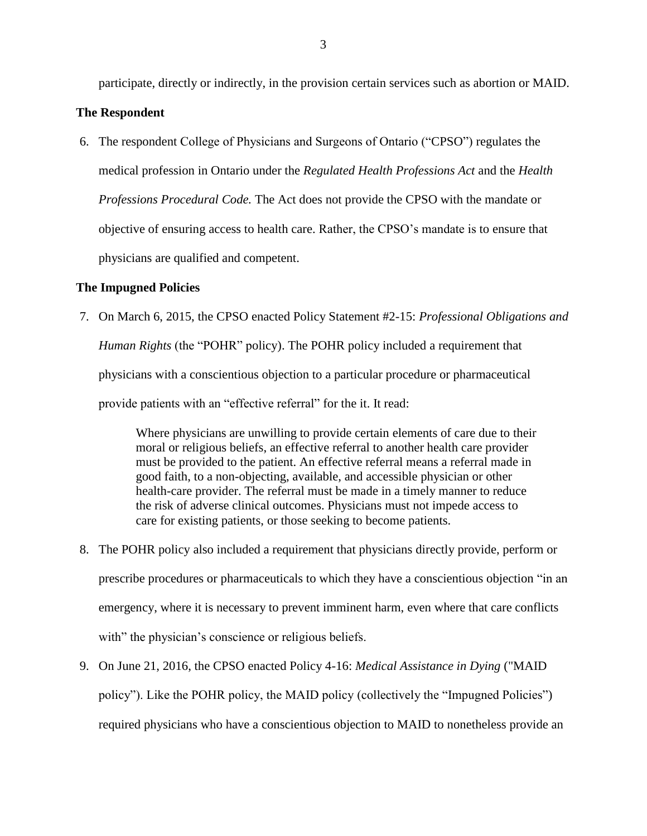participate, directly or indirectly, in the provision certain services such as abortion or MAID.

#### **The Respondent**

6. The respondent College of Physicians and Surgeons of Ontario ("CPSO") regulates the medical profession in Ontario under the *Regulated Health Professions Act* and the *Health Professions Procedural Code.* The Act does not provide the CPSO with the mandate or objective of ensuring access to health care. Rather, the CPSO's mandate is to ensure that physicians are qualified and competent.

## **The Impugned Policies**

7. On March 6, 2015, the CPSO enacted Policy Statement #2-15: *Professional Obligations and Human Rights* (the "POHR" policy). The POHR policy included a requirement that physicians with a conscientious objection to a particular procedure or pharmaceutical provide patients with an "effective referral" for the it. It read:

> Where physicians are unwilling to provide certain elements of care due to their moral or religious beliefs, an effective referral to another health care provider must be provided to the patient. An effective referral means a referral made in good faith, to a non-objecting, available, and accessible physician or other health-care provider. The referral must be made in a timely manner to reduce the risk of adverse clinical outcomes. Physicians must not impede access to care for existing patients, or those seeking to become patients.

- 8. The POHR policy also included a requirement that physicians directly provide, perform or prescribe procedures or pharmaceuticals to which they have a conscientious objection "in an emergency, where it is necessary to prevent imminent harm, even where that care conflicts with" the physician's conscience or religious beliefs.
- 9. On June 21, 2016, the CPSO enacted Policy 4-16: *Medical Assistance in Dying* ("MAID policy"). Like the POHR policy, the MAID policy (collectively the "Impugned Policies") required physicians who have a conscientious objection to MAID to nonetheless provide an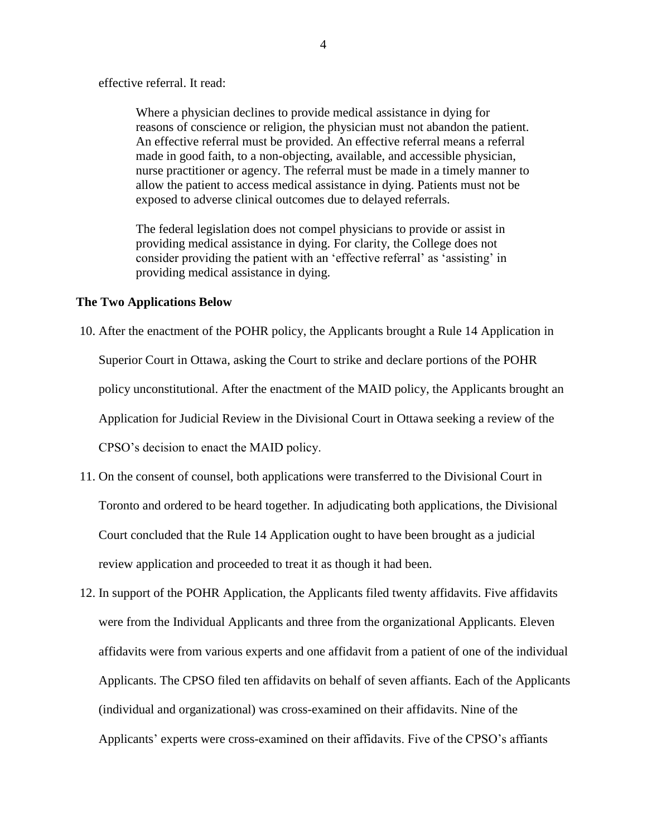effective referral. It read:

Where a physician declines to provide medical assistance in dying for reasons of conscience or religion, the physician must not abandon the patient. An effective referral must be provided. An effective referral means a referral made in good faith, to a non-objecting, available, and accessible physician, nurse practitioner or agency. The referral must be made in a timely manner to allow the patient to access medical assistance in dying. Patients must not be exposed to adverse clinical outcomes due to delayed referrals.

The federal legislation does not compel physicians to provide or assist in providing medical assistance in dying. For clarity, the College does not consider providing the patient with an 'effective referral' as 'assisting' in providing medical assistance in dying.

#### **The Two Applications Below**

10. After the enactment of the POHR policy, the Applicants brought a Rule 14 Application in Superior Court in Ottawa, asking the Court to strike and declare portions of the POHR policy unconstitutional. After the enactment of the MAID policy, the Applicants brought an Application for Judicial Review in the Divisional Court in Ottawa seeking a review of the CPSO's decision to enact the MAID policy.

- 11. On the consent of counsel, both applications were transferred to the Divisional Court in Toronto and ordered to be heard together. In adjudicating both applications, the Divisional Court concluded that the Rule 14 Application ought to have been brought as a judicial review application and proceeded to treat it as though it had been.
- 12. In support of the POHR Application, the Applicants filed twenty affidavits. Five affidavits were from the Individual Applicants and three from the organizational Applicants. Eleven affidavits were from various experts and one affidavit from a patient of one of the individual Applicants. The CPSO filed ten affidavits on behalf of seven affiants. Each of the Applicants (individual and organizational) was cross-examined on their affidavits. Nine of the Applicants' experts were cross-examined on their affidavits. Five of the CPSO's affiants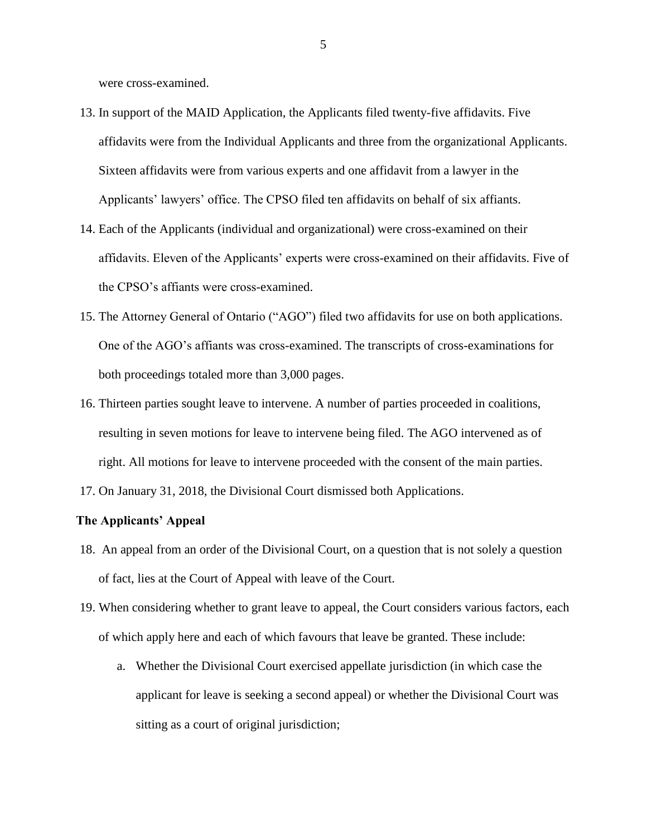were cross-examined.

- 13. In support of the MAID Application, the Applicants filed twenty-five affidavits. Five affidavits were from the Individual Applicants and three from the organizational Applicants. Sixteen affidavits were from various experts and one affidavit from a lawyer in the Applicants' lawyers' office. The CPSO filed ten affidavits on behalf of six affiants.
- 14. Each of the Applicants (individual and organizational) were cross-examined on their affidavits. Eleven of the Applicants' experts were cross-examined on their affidavits. Five of the CPSO's affiants were cross-examined.
- 15. The Attorney General of Ontario ("AGO") filed two affidavits for use on both applications. One of the AGO's affiants was cross-examined. The transcripts of cross-examinations for both proceedings totaled more than 3,000 pages.
- 16. Thirteen parties sought leave to intervene. A number of parties proceeded in coalitions, resulting in seven motions for leave to intervene being filed. The AGO intervened as of right. All motions for leave to intervene proceeded with the consent of the main parties.
- 17. On January 31, 2018, the Divisional Court dismissed both Applications.

#### **The Applicants' Appeal**

- 18. An appeal from an order of the Divisional Court, on a question that is not solely a question of fact, lies at the Court of Appeal with leave of the Court.
- 19. When considering whether to grant leave to appeal, the Court considers various factors, each of which apply here and each of which favours that leave be granted. These include:
	- a. Whether the Divisional Court exercised appellate jurisdiction (in which case the applicant for leave is seeking a second appeal) or whether the Divisional Court was sitting as a court of original jurisdiction;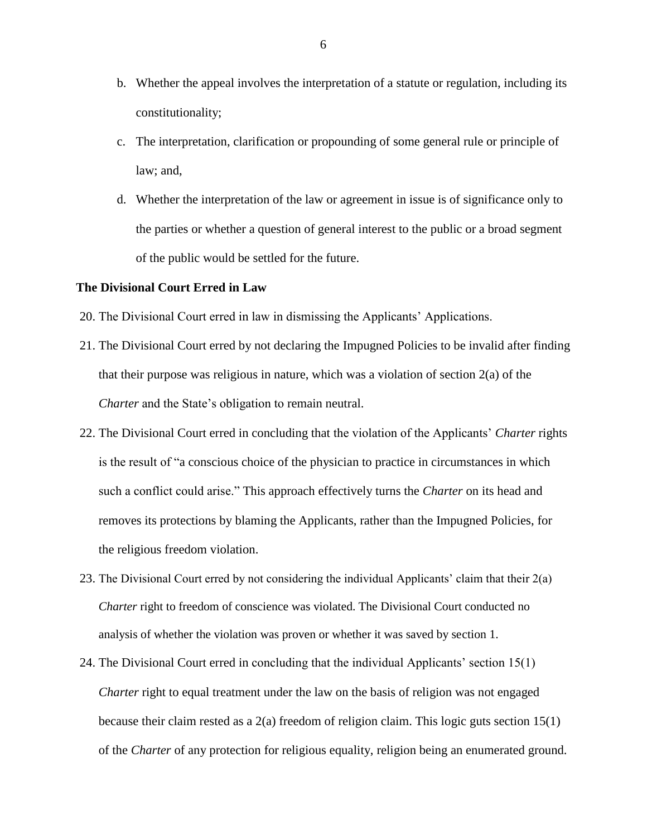- b. Whether the appeal involves the interpretation of a statute or regulation, including its constitutionality;
- c. The interpretation, clarification or propounding of some general rule or principle of law; and,
- d. Whether the interpretation of the law or agreement in issue is of significance only to the parties or whether a question of general interest to the public or a broad segment of the public would be settled for the future.

#### **The Divisional Court Erred in Law**

- 20. The Divisional Court erred in law in dismissing the Applicants' Applications.
- 21. The Divisional Court erred by not declaring the Impugned Policies to be invalid after finding that their purpose was religious in nature, which was a violation of section  $2(a)$  of the *Charter* and the State's obligation to remain neutral.
- 22. The Divisional Court erred in concluding that the violation of the Applicants' *Charter* rights is the result of "a conscious choice of the physician to practice in circumstances in which such a conflict could arise." This approach effectively turns the *Charter* on its head and removes its protections by blaming the Applicants, rather than the Impugned Policies, for the religious freedom violation.
- 23. The Divisional Court erred by not considering the individual Applicants' claim that their 2(a) *Charter* right to freedom of conscience was violated. The Divisional Court conducted no analysis of whether the violation was proven or whether it was saved by section 1.
- 24. The Divisional Court erred in concluding that the individual Applicants' section 15(1) *Charter* right to equal treatment under the law on the basis of religion was not engaged because their claim rested as a 2(a) freedom of religion claim. This logic guts section 15(1) of the *Charter* of any protection for religious equality, religion being an enumerated ground.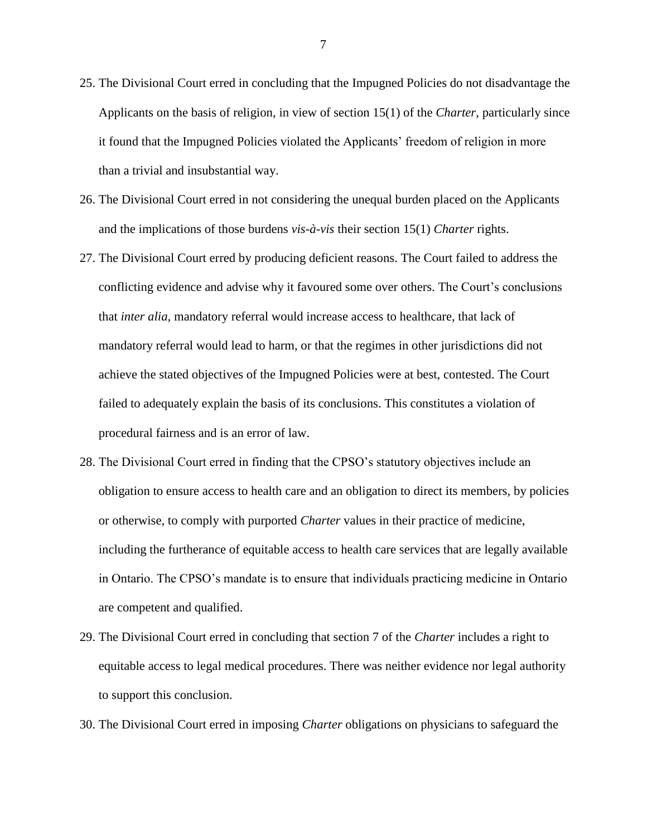- 25. The Divisional Court erred in concluding that the Impugned Policies do not disadvantage the Applicants on the basis of religion, in view of section 15(1) of the *Charter*, particularly since it found that the Impugned Policies violated the Applicants' freedom of religion in more than a trivial and insubstantial way.
- 26. The Divisional Court erred in not considering the unequal burden placed on the Applicants and the implications of those burdens *vis-à-vis* their section 15(1) *Charter* rights.
- 27. The Divisional Court erred by producing deficient reasons. The Court failed to address the conflicting evidence and advise why it favoured some over others. The Court's conclusions that *inter alia*, mandatory referral would increase access to healthcare, that lack of mandatory referral would lead to harm, or that the regimes in other jurisdictions did not achieve the stated objectives of the Impugned Policies were at best, contested. The Court failed to adequately explain the basis of its conclusions. This constitutes a violation of procedural fairness and is an error of law.
- 28. The Divisional Court erred in finding that the CPSO's statutory objectives include an obligation to ensure access to health care and an obligation to direct its members, by policies or otherwise, to comply with purported *Charter* values in their practice of medicine, including the furtherance of equitable access to health care services that are legally available in Ontario. The CPSO's mandate is to ensure that individuals practicing medicine in Ontario are competent and qualified.
- 29. The Divisional Court erred in concluding that section 7 of the *Charter* includes a right to equitable access to legal medical procedures. There was neither evidence nor legal authority to support this conclusion.
- 30. The Divisional Court erred in imposing *Charter* obligations on physicians to safeguard the

7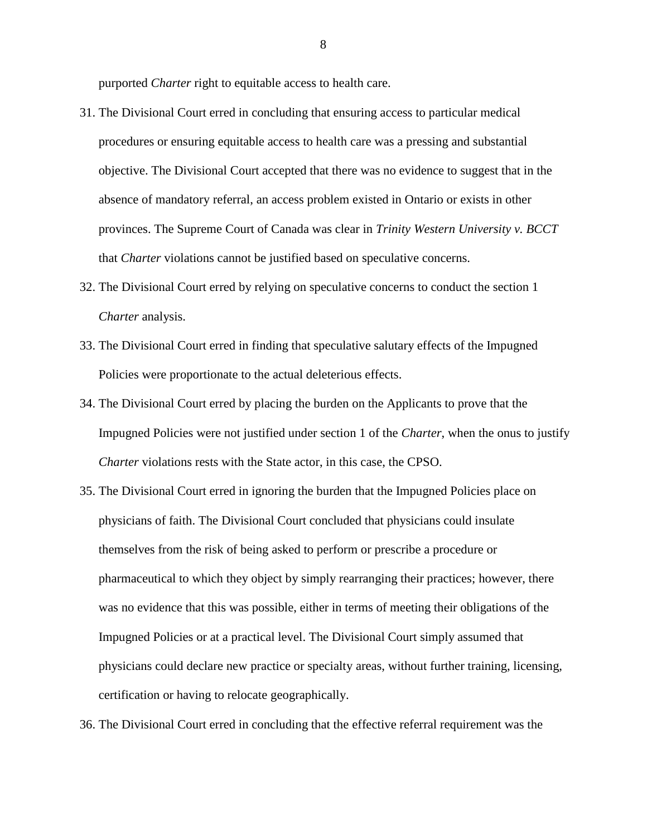purported *Charter* right to equitable access to health care.

- 31. The Divisional Court erred in concluding that ensuring access to particular medical procedures or ensuring equitable access to health care was a pressing and substantial objective. The Divisional Court accepted that there was no evidence to suggest that in the absence of mandatory referral, an access problem existed in Ontario or exists in other provinces. The Supreme Court of Canada was clear in *Trinity Western University v. BCCT* that *Charter* violations cannot be justified based on speculative concerns.
- 32. The Divisional Court erred by relying on speculative concerns to conduct the section 1 *Charter* analysis.
- 33. The Divisional Court erred in finding that speculative salutary effects of the Impugned Policies were proportionate to the actual deleterious effects.
- 34. The Divisional Court erred by placing the burden on the Applicants to prove that the Impugned Policies were not justified under section 1 of the *Charter*, when the onus to justify *Charter* violations rests with the State actor, in this case, the CPSO.
- 35. The Divisional Court erred in ignoring the burden that the Impugned Policies place on physicians of faith. The Divisional Court concluded that physicians could insulate themselves from the risk of being asked to perform or prescribe a procedure or pharmaceutical to which they object by simply rearranging their practices; however, there was no evidence that this was possible, either in terms of meeting their obligations of the Impugned Policies or at a practical level. The Divisional Court simply assumed that physicians could declare new practice or specialty areas, without further training, licensing, certification or having to relocate geographically.
- 36. The Divisional Court erred in concluding that the effective referral requirement was the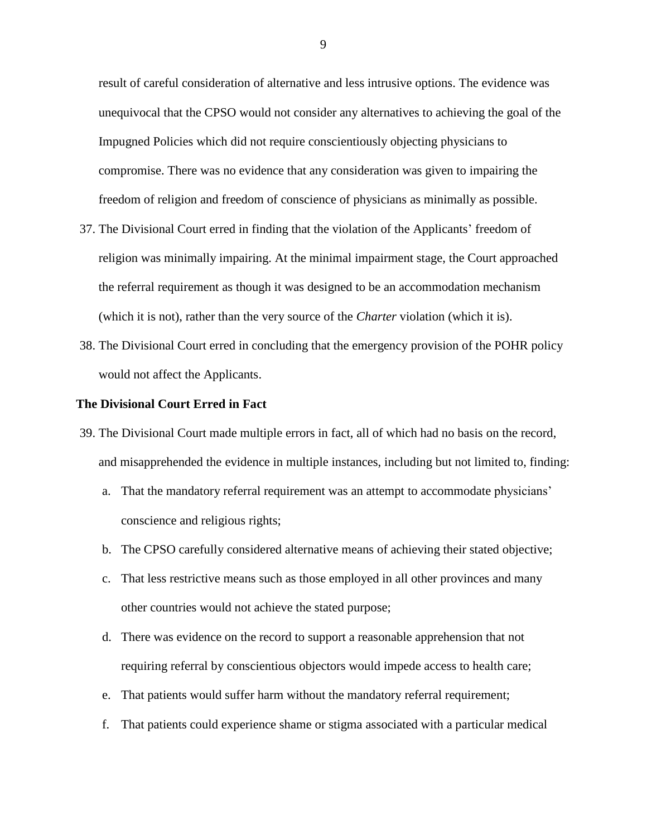result of careful consideration of alternative and less intrusive options. The evidence was unequivocal that the CPSO would not consider any alternatives to achieving the goal of the Impugned Policies which did not require conscientiously objecting physicians to compromise. There was no evidence that any consideration was given to impairing the freedom of religion and freedom of conscience of physicians as minimally as possible.

- 37. The Divisional Court erred in finding that the violation of the Applicants' freedom of religion was minimally impairing. At the minimal impairment stage, the Court approached the referral requirement as though it was designed to be an accommodation mechanism (which it is not), rather than the very source of the *Charter* violation (which it is).
- 38. The Divisional Court erred in concluding that the emergency provision of the POHR policy would not affect the Applicants.

#### **The Divisional Court Erred in Fact**

- 39. The Divisional Court made multiple errors in fact, all of which had no basis on the record, and misapprehended the evidence in multiple instances, including but not limited to, finding:
	- a. That the mandatory referral requirement was an attempt to accommodate physicians' conscience and religious rights;
	- b. The CPSO carefully considered alternative means of achieving their stated objective;
	- c. That less restrictive means such as those employed in all other provinces and many other countries would not achieve the stated purpose;
	- d. There was evidence on the record to support a reasonable apprehension that not requiring referral by conscientious objectors would impede access to health care;
	- e. That patients would suffer harm without the mandatory referral requirement;
	- f. That patients could experience shame or stigma associated with a particular medical

9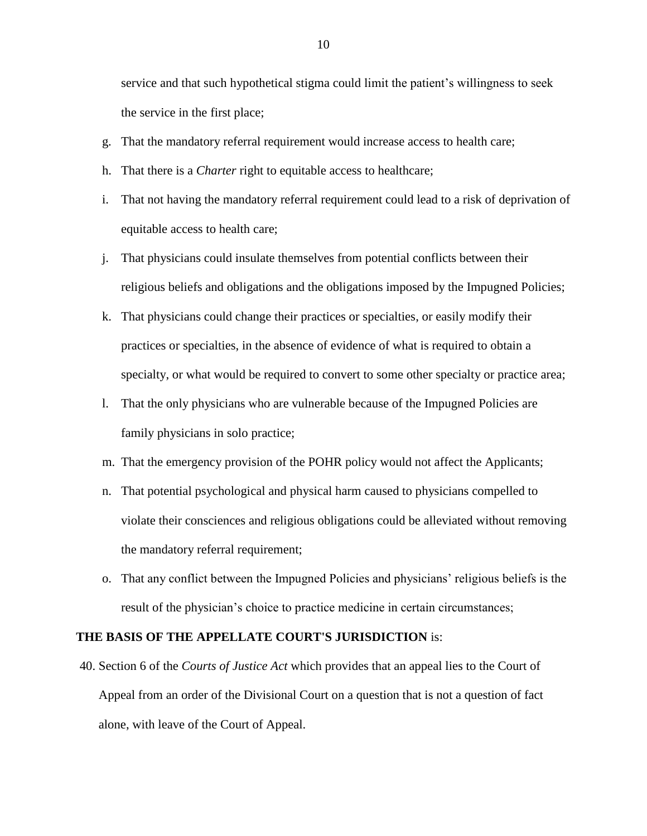service and that such hypothetical stigma could limit the patient's willingness to seek the service in the first place;

- g. That the mandatory referral requirement would increase access to health care;
- h. That there is a *Charter* right to equitable access to healthcare;
- i. That not having the mandatory referral requirement could lead to a risk of deprivation of equitable access to health care;
- j. That physicians could insulate themselves from potential conflicts between their religious beliefs and obligations and the obligations imposed by the Impugned Policies;
- k. That physicians could change their practices or specialties, or easily modify their practices or specialties, in the absence of evidence of what is required to obtain a specialty, or what would be required to convert to some other specialty or practice area;
- l. That the only physicians who are vulnerable because of the Impugned Policies are family physicians in solo practice;
- m. That the emergency provision of the POHR policy would not affect the Applicants;
- n. That potential psychological and physical harm caused to physicians compelled to violate their consciences and religious obligations could be alleviated without removing the mandatory referral requirement;
- o. That any conflict between the Impugned Policies and physicians' religious beliefs is the result of the physician's choice to practice medicine in certain circumstances;

#### **THE BASIS OF THE APPELLATE COURT'S JURISDICTION** is:

40. Section 6 of the *Courts of Justice Act* which provides that an appeal lies to the Court of Appeal from an order of the Divisional Court on a question that is not a question of fact alone, with leave of the Court of Appeal.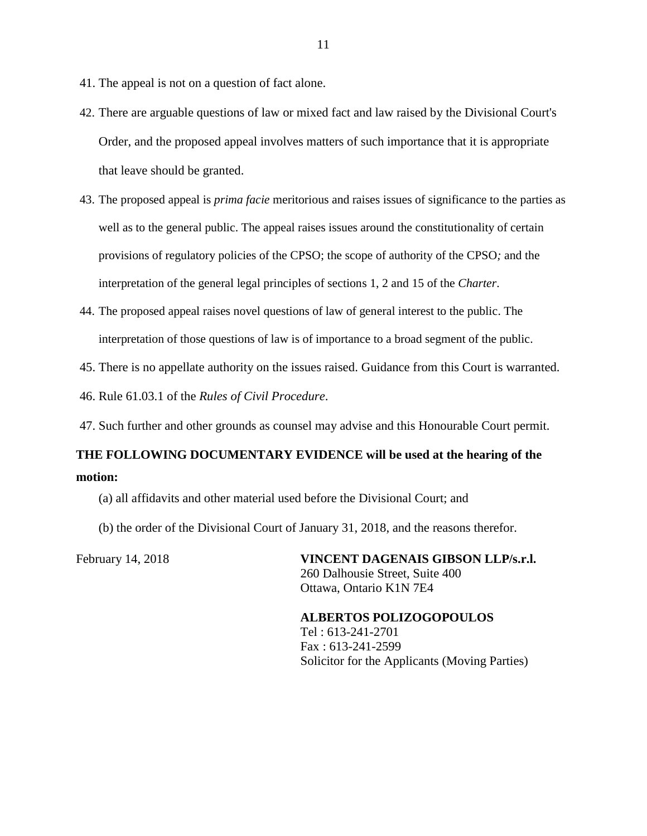- 41. The appeal is not on a question of fact alone.
- 42. There are arguable questions of law or mixed fact and law raised by the Divisional Court's Order, and the proposed appeal involves matters of such importance that it is appropriate that leave should be granted.
- 43. The proposed appeal is *prima facie* meritorious and raises issues of significance to the parties as well as to the general public. The appeal raises issues around the constitutionality of certain provisions of regulatory policies of the CPSO; the scope of authority of the CPSO*;* and the interpretation of the general legal principles of sections 1, 2 and 15 of the *Charter*.
- 44. The proposed appeal raises novel questions of law of general interest to the public. The interpretation of those questions of law is of importance to a broad segment of the public.
- 45. There is no appellate authority on the issues raised. Guidance from this Court is warranted.

46. Rule 61.03.1 of the *Rules of Civil Procedure*.

47. Such further and other grounds as counsel may advise and this Honourable Court permit.

## **THE FOLLOWING DOCUMENTARY EVIDENCE will be used at the hearing of the motion:**

- (a) all affidavits and other material used before the Divisional Court; and
- (b) the order of the Divisional Court of January 31, 2018, and the reasons therefor.

February 14, 2018 **VINCENT DAGENAIS GIBSON LLP/s.r.l.** 260 Dalhousie Street, Suite 400 Ottawa, Ontario K1N 7E4

> **ALBERTOS POLIZOGOPOULOS** Tel : 613-241-2701 Fax : 613-241-2599 Solicitor for the Applicants (Moving Parties)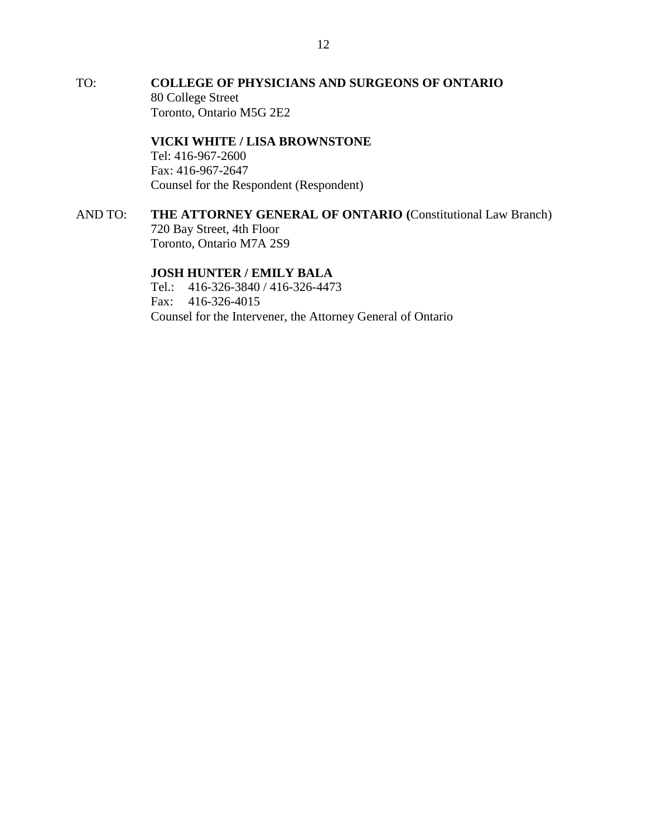TO: **COLLEGE OF PHYSICIANS AND SURGEONS OF ONTARIO** 80 College Street Toronto, Ontario M5G 2E2

> **VICKI WHITE / LISA BROWNSTONE** Tel: 416-967-2600 Fax: 416-967-2647 Counsel for the Respondent (Respondent)

AND TO: **THE ATTORNEY GENERAL OF ONTARIO (**Constitutional Law Branch) 720 Bay Street, 4th Floor Toronto, Ontario M7A 2S9

#### **JOSH HUNTER / EMILY BALA**

Tel.: 416-326-3840 / 416-326-4473 Fax: 416-326-4015 Counsel for the Intervener, the Attorney General of Ontario